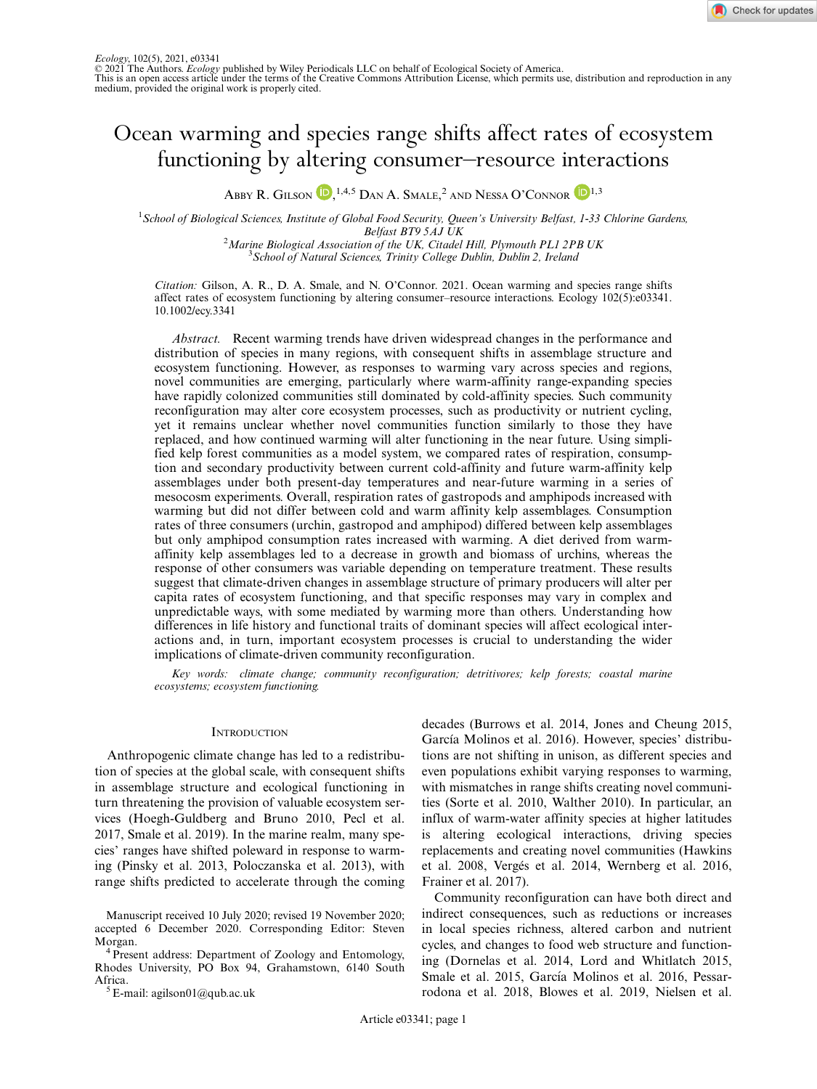

# Ocean warming and species range shifts affect rates of ecosystem functioning by altering consumer–resource interactions

Abby R. Gilson **iD**, <sup>1,4,5</sup> Dan A. Smale,<sup>2</sup> and Nessa O'Connor **iD**<sup>1,3</sup>

<sup>1</sup> School of Biological Sciences, Institute of Global Food Security, Queen's University Belfast, 1-33 Chlorine Gardens, Belfast BT9 5AJ UK<br><sup>2</sup> Marine Biological Association of the UK, Citadel

Marine Biological Association of the UK, Citadel Hill, Plymouth PL1 2PB UK<br><sup>3</sup> School of Natural Sciences, Trinity College Dublin, Dublin 2, Ireland <sup>3</sup> School of Natural Sciences, Trinity College Dublin, Dublin 2, Ireland

Citation: Gilson, A. R., D. A. Smale, and N. O'Connor. 2021. Ocean warming and species range shifts affect rates of ecosystem functioning by altering consumer–resource interactions. Ecology 102(5):e03341. [10.1002/ecy.3341](info:doi/10.1002/ecy.3341)

Abstract. Recent warming trends have driven widespread changes in the performance and distribution of species in many regions, with consequent shifts in assemblage structure and ecosystem functioning. However, as responses to warming vary across species and regions, novel communities are emerging, particularly where warm-affinity range-expanding species have rapidly colonized communities still dominated by cold-affinity species. Such community reconfiguration may alter core ecosystem processes, such as productivity or nutrient cycling, yet it remains unclear whether novel communities function similarly to those they have replaced, and how continued warming will alter functioning in the near future. Using simplified kelp forest communities as a model system, we compared rates of respiration, consumption and secondary productivity between current cold-affinity and future warm-affinity kelp assemblages under both present-day temperatures and near-future warming in a series of mesocosm experiments. Overall, respiration rates of gastropods and amphipods increased with warming but did not differ between cold and warm affinity kelp assemblages. Consumption rates of three consumers (urchin, gastropod and amphipod) differed between kelp assemblages but only amphipod consumption rates increased with warming. A diet derived from warmaffinity kelp assemblages led to a decrease in growth and biomass of urchins, whereas the response of other consumers was variable depending on temperature treatment. These results suggest that climate-driven changes in assemblage structure of primary producers will alter per capita rates of ecosystem functioning, and that specific responses may vary in complex and unpredictable ways, with some mediated by warming more than others. Understanding how differences in life history and functional traits of dominant species will affect ecological interactions and, in turn, important ecosystem processes is crucial to understanding the wider implications of climate-driven community reconfiguration.

Key words: climate change; community reconfiguration; detritivores; kelp forests; coastal marine ecosystems; ecosystem functioning.

# **INTRODUCTION**

Anthropogenic climate change has led to a redistribution of species at the global scale, with consequent shifts in assemblage structure and ecological functioning in turn threatening the provision of valuable ecosystem services (Hoegh-Guldberg and Bruno 2010, Pecl et al. 2017, Smale et al. 2019). In the marine realm, many species' ranges have shifted poleward in response to warming (Pinsky et al. 2013, Poloczanska et al. 2013), with range shifts predicted to accelerate through the coming

Manuscript received 10 July 2020; revised 19 November 2020; accepted 6 December 2020. Corresponding Editor: Steven Morgan. <sup>4</sup> Present address: Department of Zoology and Entomology,

Rhodes University, PO Box 94, Grahamstown, 6140 South

 ${}^5$  E-mail: [agilson01@qub.ac.uk](mailto:)

decades (Burrows et al. 2014, Jones and Cheung 2015, García Molinos et al. 2016). However, species' distributions are not shifting in unison, as different species and even populations exhibit varying responses to warming, with mismatches in range shifts creating novel communities (Sorte et al. 2010, Walther 2010). In particular, an influx of warm-water affinity species at higher latitudes is altering ecological interactions, driving species replacements and creating novel communities (Hawkins et al. 2008, Verges et al. 2014, Wernberg et al. 2016, Frainer et al. 2017).

Community reconfiguration can have both direct and indirect consequences, such as reductions or increases in local species richness, altered carbon and nutrient cycles, and changes to food web structure and functioning (Dornelas et al. 2014, Lord and Whitlatch 2015, Smale et al. 2015, García Molinos et al. 2016, Pessarrodona et al. 2018, Blowes et al. 2019, Nielsen et al.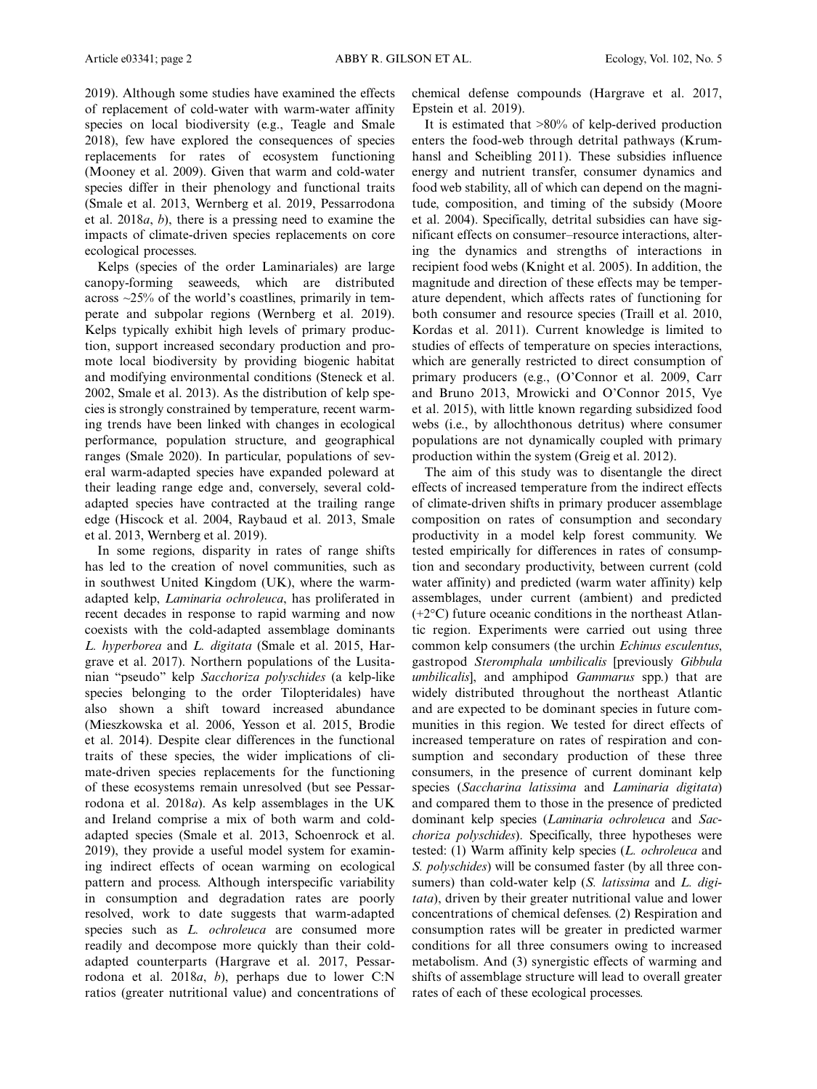2019). Although some studies have examined the effects of replacement of cold-water with warm-water affinity species on local biodiversity (e.g., Teagle and Smale 2018), few have explored the consequences of species replacements for rates of ecosystem functioning (Mooney et al. 2009). Given that warm and cold-water species differ in their phenology and functional traits (Smale et al. 2013, Wernberg et al. 2019, Pessarrodona et al. 2018a, b), there is a pressing need to examine the impacts of climate-driven species replacements on core ecological processes.

Kelps (species of the order Laminariales) are large canopy-forming seaweeds, which are distributed across  $\approx$  25% of the world's coastlines, primarily in temperate and subpolar regions (Wernberg et al. 2019). Kelps typically exhibit high levels of primary production, support increased secondary production and promote local biodiversity by providing biogenic habitat and modifying environmental conditions (Steneck et al. 2002, Smale et al. 2013). As the distribution of kelp species is strongly constrained by temperature, recent warming trends have been linked with changes in ecological performance, population structure, and geographical ranges (Smale 2020). In particular, populations of several warm-adapted species have expanded poleward at their leading range edge and, conversely, several coldadapted species have contracted at the trailing range edge (Hiscock et al. 2004, Raybaud et al. 2013, Smale et al. 2013, Wernberg et al. 2019).

In some regions, disparity in rates of range shifts has led to the creation of novel communities, such as in southwest United Kingdom (UK), where the warmadapted kelp, Laminaria ochroleuca, has proliferated in recent decades in response to rapid warming and now coexists with the cold-adapted assemblage dominants L. hyperborea and L. digitata (Smale et al. 2015, Hargrave et al. 2017). Northern populations of the Lusitanian "pseudo" kelp Sacchoriza polyschides (a kelp-like species belonging to the order Tilopteridales) have also shown a shift toward increased abundance (Mieszkowska et al. 2006, Yesson et al. 2015, Brodie et al. 2014). Despite clear differences in the functional traits of these species, the wider implications of climate-driven species replacements for the functioning of these ecosystems remain unresolved (but see Pessarrodona et al. 2018a). As kelp assemblages in the UK and Ireland comprise a mix of both warm and coldadapted species (Smale et al. 2013, Schoenrock et al. 2019), they provide a useful model system for examining indirect effects of ocean warming on ecological pattern and process. Although interspecific variability in consumption and degradation rates are poorly resolved, work to date suggests that warm-adapted species such as *L. ochroleuca* are consumed more readily and decompose more quickly than their coldadapted counterparts (Hargrave et al. 2017, Pessarrodona et al. 2018a, b), perhaps due to lower C:N ratios (greater nutritional value) and concentrations of chemical defense compounds (Hargrave et al. 2017, Epstein et al. 2019).

It is estimated that >80% of kelp-derived production enters the food-web through detrital pathways (Krumhansl and Scheibling 2011). These subsidies influence energy and nutrient transfer, consumer dynamics and food web stability, all of which can depend on the magnitude, composition, and timing of the subsidy (Moore et al. 2004). Specifically, detrital subsidies can have significant effects on consumer–resource interactions, altering the dynamics and strengths of interactions in recipient food webs (Knight et al. 2005). In addition, the magnitude and direction of these effects may be temperature dependent, which affects rates of functioning for both consumer and resource species (Traill et al. 2010, Kordas et al. 2011). Current knowledge is limited to studies of effects of temperature on species interactions, which are generally restricted to direct consumption of primary producers (e.g., (O'Connor et al. 2009, Carr and Bruno 2013, Mrowicki and O'Connor 2015, Vye et al. 2015), with little known regarding subsidized food webs (i.e., by allochthonous detritus) where consumer populations are not dynamically coupled with primary production within the system (Greig et al. 2012).

The aim of this study was to disentangle the direct effects of increased temperature from the indirect effects of climate-driven shifts in primary producer assemblage composition on rates of consumption and secondary productivity in a model kelp forest community. We tested empirically for differences in rates of consumption and secondary productivity, between current (cold water affinity) and predicted (warm water affinity) kelp assemblages, under current (ambient) and predicted (+2°C) future oceanic conditions in the northeast Atlantic region. Experiments were carried out using three common kelp consumers (the urchin Echinus esculentus, gastropod Steromphala umbilicalis [previously Gibbula umbilicalis], and amphipod Gammarus spp.) that are widely distributed throughout the northeast Atlantic and are expected to be dominant species in future communities in this region. We tested for direct effects of increased temperature on rates of respiration and consumption and secondary production of these three consumers, in the presence of current dominant kelp species (Saccharina latissima and Laminaria digitata) and compared them to those in the presence of predicted dominant kelp species (Laminaria ochroleuca and Sacchoriza polyschides). Specifically, three hypotheses were tested: (1) Warm affinity kelp species (L. ochroleuca and S. *polyschides*) will be consumed faster (by all three consumers) than cold-water kelp (S. latissima and L. digitata), driven by their greater nutritional value and lower concentrations of chemical defenses. (2) Respiration and consumption rates will be greater in predicted warmer conditions for all three consumers owing to increased metabolism. And (3) synergistic effects of warming and shifts of assemblage structure will lead to overall greater rates of each of these ecological processes.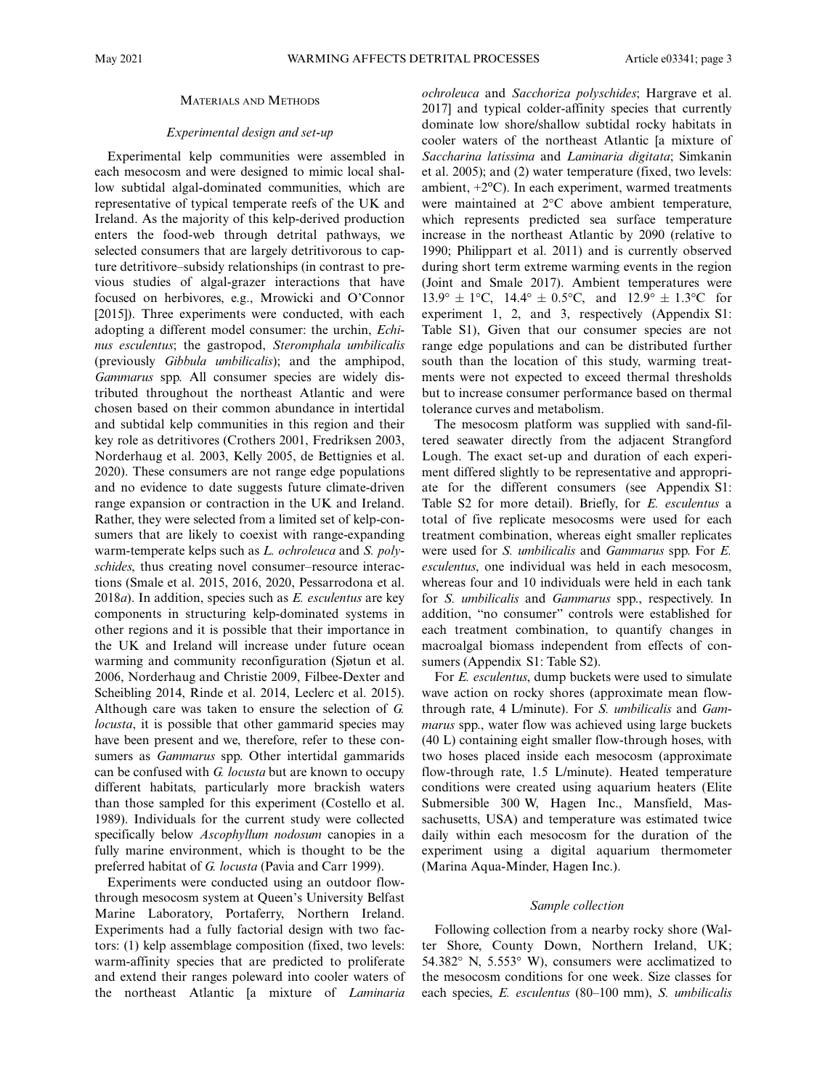#### MATERIALS AND METHODS

# Experimental design and set-up

Experimental kelp communities were assembled in each mesocosm and were designed to mimic local shallow subtidal algal-dominated communities, which are representative of typical temperate reefs of the UK and Ireland. As the majority of this kelp-derived production enters the food-web through detrital pathways, we selected consumers that are largely detritivorous to capture detritivore–subsidy relationships (in contrast to previous studies of algal-grazer interactions that have focused on herbivores, e.g., Mrowicki and O'Connor [2015]). Three experiments were conducted, with each adopting a different model consumer: the urchin, Echinus esculentus; the gastropod, Steromphala umbilicalis (previously Gibbula umbilicalis); and the amphipod, Gammarus spp. All consumer species are widely distributed throughout the northeast Atlantic and were chosen based on their common abundance in intertidal and subtidal kelp communities in this region and their key role as detritivores (Crothers 2001, Fredriksen 2003, Norderhaug et al. 2003, Kelly 2005, de Bettignies et al. 2020). These consumers are not range edge populations and no evidence to date suggests future climate-driven range expansion or contraction in the UK and Ireland. Rather, they were selected from a limited set of kelp-consumers that are likely to coexist with range-expanding warm-temperate kelps such as *L. ochroleuca* and *S. poly*schides, thus creating novel consumer–resource interactions (Smale et al. 2015, 2016, 2020, Pessarrodona et al.  $2018a$ ). In addition, species such as E. esculentus are key components in structuring kelp-dominated systems in other regions and it is possible that their importance in the UK and Ireland will increase under future ocean warming and community reconfiguration (Sjøtun et al. 2006, Norderhaug and Christie 2009, Filbee-Dexter and Scheibling 2014, Rinde et al. 2014, Leclerc et al. 2015). Although care was taken to ensure the selection of G. locusta, it is possible that other gammarid species may have been present and we, therefore, refer to these consumers as Gammarus spp. Other intertidal gammarids can be confused with G. locusta but are known to occupy different habitats, particularly more brackish waters than those sampled for this experiment (Costello et al. 1989). Individuals for the current study were collected specifically below *Ascophyllum nodosum* canopies in a fully marine environment, which is thought to be the preferred habitat of G. locusta (Pavia and Carr 1999).

Experiments were conducted using an outdoor flowthrough mesocosm system at Queen's University Belfast Marine Laboratory, Portaferry, Northern Ireland. Experiments had a fully factorial design with two factors: (1) kelp assemblage composition (fixed, two levels: warm-affinity species that are predicted to proliferate and extend their ranges poleward into cooler waters of the northeast Atlantic [a mixture of Laminaria ochroleuca and Sacchoriza polyschides; Hargrave et al. 2017] and typical colder-affinity species that currently dominate low shore/shallow subtidal rocky habitats in cooler waters of the northeast Atlantic [a mixture of Saccharina latissima and Laminaria digitata; Simkanin et al. 2005); and (2) water temperature (fixed, two levels: ambient,  $+2$ <sup>o</sup>C). In each experiment, warmed treatments were maintained at  $2^{\circ}$ C above ambient temperature, which represents predicted sea surface temperature increase in the northeast Atlantic by 2090 (relative to 1990; Philippart et al. 2011) and is currently observed during short term extreme warming events in the region (Joint and Smale 2017). Ambient temperatures were  $13.9^{\circ} \pm 1^{\circ}C$ ,  $14.4^{\circ} \pm 0.5^{\circ}C$ , and  $12.9^{\circ} \pm 1.3^{\circ}C$  for experiment 1, 2, and 3, respectively (Appendix S1: Table S1), Given that our consumer species are not range edge populations and can be distributed further south than the location of this study, warming treatments were not expected to exceed thermal thresholds but to increase consumer performance based on thermal tolerance curves and metabolism.

The mesocosm platform was supplied with sand-filtered seawater directly from the adjacent Strangford Lough. The exact set-up and duration of each experiment differed slightly to be representative and appropriate for the different consumers (see Appendix S1: Table S2 for more detail). Briefly, for E. esculentus a total of five replicate mesocosms were used for each treatment combination, whereas eight smaller replicates were used for S. umbilicalis and Gammarus spp. For E. esculentus, one individual was held in each mesocosm, whereas four and 10 individuals were held in each tank for S. umbilicalis and Gammarus spp., respectively. In addition, "no consumer" controls were established for each treatment combination, to quantify changes in macroalgal biomass independent from effects of consumers (Appendix S1: Table S2).

For E. esculentus, dump buckets were used to simulate wave action on rocky shores (approximate mean flowthrough rate, 4 L/minute). For S. umbilicalis and Gammarus spp., water flow was achieved using large buckets (40 L) containing eight smaller flow-through hoses, with two hoses placed inside each mesocosm (approximate flow-through rate, 1.5 L/minute). Heated temperature conditions were created using aquarium heaters (Elite Submersible 300 W, Hagen Inc., Mansfield, Massachusetts, USA) and temperature was estimated twice daily within each mesocosm for the duration of the experiment using a digital aquarium thermometer (Marina Aqua-Minder, Hagen Inc.).

## Sample collection

Following collection from a nearby rocky shore (Walter Shore, County Down, Northern Ireland, UK; 54.382 $\degree$  N, 5.553 $\degree$  W), consumers were acclimatized to the mesocosm conditions for one week. Size classes for each species, E. esculentus (80–100 mm), S. umbilicalis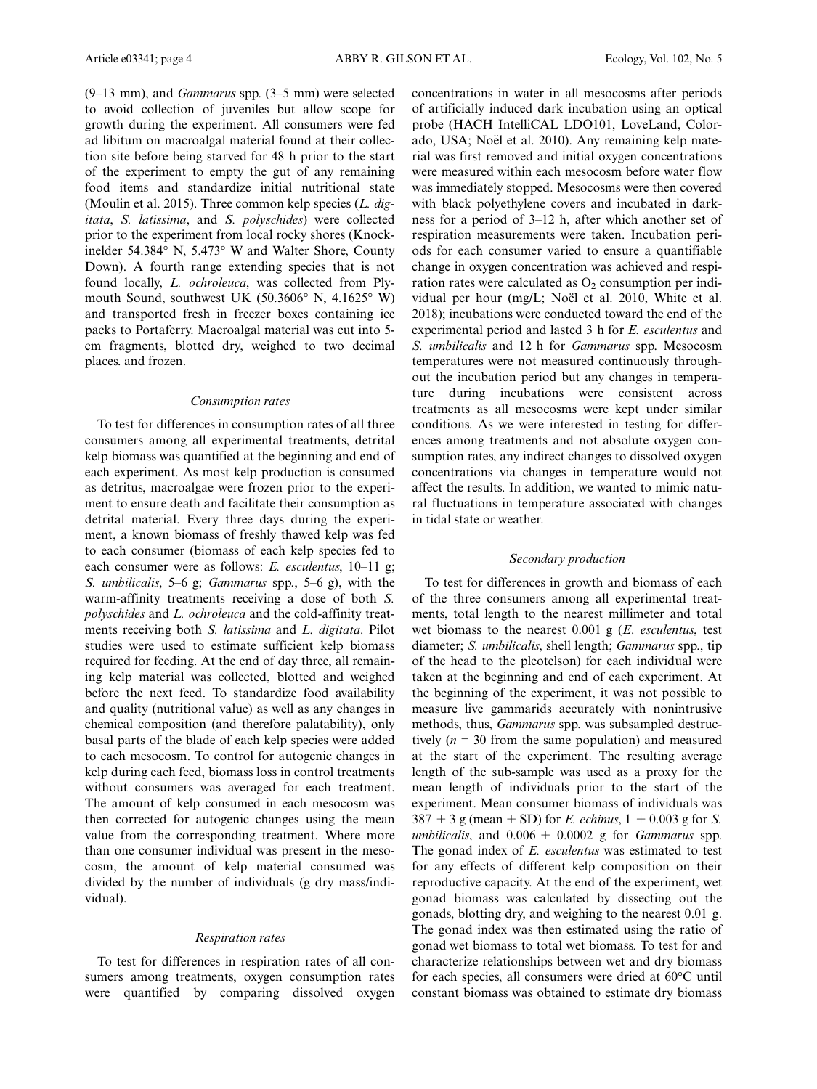(9–13 mm), and Gammarus spp. (3–5 mm) were selected to avoid collection of juveniles but allow scope for growth during the experiment. All consumers were fed ad libitum on macroalgal material found at their collection site before being starved for 48 h prior to the start of the experiment to empty the gut of any remaining food items and standardize initial nutritional state (Moulin et al. 2015). Three common kelp species  $(L.$  digitata, S. latissima, and S. polyschides) were collected prior to the experiment from local rocky shores (Knockinelder 54.384 $\textdegree$  N, 5.473 $\textdegree$  W and Walter Shore, County Down). A fourth range extending species that is not found locally, L. ochroleuca, was collected from Plymouth Sound, southwest UK  $(50.3606^{\circ} \text{ N}, 4.1625^{\circ} \text{ W})$ and transported fresh in freezer boxes containing ice packs to Portaferry. Macroalgal material was cut into 5 cm fragments, blotted dry, weighed to two decimal places. and frozen.

## Consumption rates

To test for differences in consumption rates of all three consumers among all experimental treatments, detrital kelp biomass was quantified at the beginning and end of each experiment. As most kelp production is consumed as detritus, macroalgae were frozen prior to the experiment to ensure death and facilitate their consumption as detrital material. Every three days during the experiment, a known biomass of freshly thawed kelp was fed to each consumer (biomass of each kelp species fed to each consumer were as follows: E. esculentus, 10-11 g; S. umbilicalis, 5–6 g; Gammarus spp., 5–6 g), with the warm-affinity treatments receiving a dose of both S. polyschides and L. ochroleuca and the cold-affinity treatments receiving both S. latissima and L. digitata. Pilot studies were used to estimate sufficient kelp biomass required for feeding. At the end of day three, all remaining kelp material was collected, blotted and weighed before the next feed. To standardize food availability and quality (nutritional value) as well as any changes in chemical composition (and therefore palatability), only basal parts of the blade of each kelp species were added to each mesocosm. To control for autogenic changes in kelp during each feed, biomass loss in control treatments without consumers was averaged for each treatment. The amount of kelp consumed in each mesocosm was then corrected for autogenic changes using the mean value from the corresponding treatment. Where more than one consumer individual was present in the mesocosm, the amount of kelp material consumed was divided by the number of individuals (g dry mass/individual).

# Respiration rates

To test for differences in respiration rates of all consumers among treatments, oxygen consumption rates were quantified by comparing dissolved oxygen concentrations in water in all mesocosms after periods of artificially induced dark incubation using an optical probe (HACH IntelliCAL LDO101, LoveLand, Colorado, USA; Noël et al. 2010). Any remaining kelp material was first removed and initial oxygen concentrations were measured within each mesocosm before water flow was immediately stopped. Mesocosms were then covered with black polyethylene covers and incubated in darkness for a period of 3–12 h, after which another set of respiration measurements were taken. Incubation periods for each consumer varied to ensure a quantifiable change in oxygen concentration was achieved and respiration rates were calculated as  $O_2$  consumption per individual per hour (mg/L; Noël et al. 2010, White et al. 2018); incubations were conducted toward the end of the experimental period and lasted 3 h for E. esculentus and S. umbilicalis and 12 h for Gammarus spp. Mesocosm temperatures were not measured continuously throughout the incubation period but any changes in temperature during incubations were consistent across treatments as all mesocosms were kept under similar conditions. As we were interested in testing for differences among treatments and not absolute oxygen consumption rates, any indirect changes to dissolved oxygen concentrations via changes in temperature would not affect the results. In addition, we wanted to mimic natural fluctuations in temperature associated with changes in tidal state or weather.

## Secondary production

To test for differences in growth and biomass of each of the three consumers among all experimental treatments, total length to the nearest millimeter and total wet biomass to the nearest  $0.001$  g (*E. esculentus*, test diameter; S. umbilicalis, shell length; Gammarus spp., tip of the head to the pleotelson) for each individual were taken at the beginning and end of each experiment. At the beginning of the experiment, it was not possible to measure live gammarids accurately with nonintrusive methods, thus, Gammarus spp. was subsampled destructively ( $n = 30$  from the same population) and measured at the start of the experiment. The resulting average length of the sub-sample was used as a proxy for the mean length of individuals prior to the start of the experiment. Mean consumer biomass of individuals was  $387 \pm 3$  g (mean  $\pm$  SD) for *E. echinus*,  $1 \pm 0.003$  g for *S.* umbilicalis, and  $0.006 \pm 0.0002$  g for *Gammarus* spp. The gonad index of E. esculentus was estimated to test for any effects of different kelp composition on their reproductive capacity. At the end of the experiment, wet gonad biomass was calculated by dissecting out the gonads, blotting dry, and weighing to the nearest 0.01 g. The gonad index was then estimated using the ratio of gonad wet biomass to total wet biomass. To test for and characterize relationships between wet and dry biomass for each species, all consumers were dried at 60°C until constant biomass was obtained to estimate dry biomass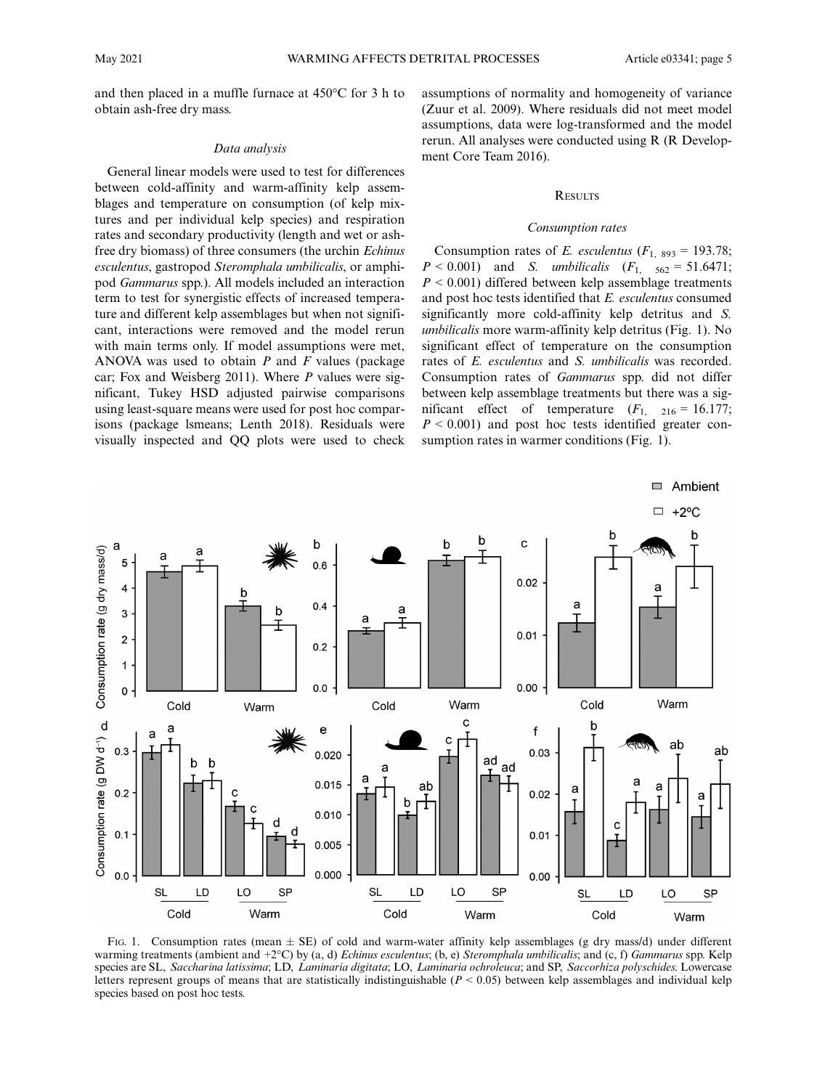and then placed in a muffle furnace at 450°C for 3 h to obtain ash-free dry mass.

#### Data analysis

General linear models were used to test for differences between cold-affinity and warm-affinity kelp assemblages and temperature on consumption (of kelp mixtures and per individual kelp species) and respiration rates and secondary productivity (length and wet or ashfree dry biomass) of three consumers (the urchin Echinus esculentus, gastropod Steromphala umbilicalis, or amphipod Gammarus spp.). All models included an interaction term to test for synergistic effects of increased temperature and different kelp assemblages but when not significant, interactions were removed and the model rerun with main terms only. If model assumptions were met, ANOVA was used to obtain  $P$  and  $F$  values (package car; Fox and Weisberg 2011). Where  $P$  values were significant, Tukey HSD adjusted pairwise comparisons using least-square means were used for post hoc comparisons (package lsmeans; Lenth 2018). Residuals were visually inspected and QQ plots were used to check

assumptions of normality and homogeneity of variance (Zuur et al. 2009). Where residuals did not meet model assumptions, data were log-transformed and the model rerun. All analyses were conducted using R (R Development Core Team 2016).

# **RESULTS**

#### Consumption rates

Consumption rates of E. esculentus ( $F_{1, 893} = 193.78$ ;  $P < 0.001$ ) and *S. umbilicalis*  $(F_1, 562 = 51.6471;$  $P < 0.001$ ) differed between kelp assemblage treatments and post hoc tests identified that E. esculentus consumed significantly more cold-affinity kelp detritus and S. umbilicalis more warm-affinity kelp detritus (Fig. 1). No significant effect of temperature on the consumption rates of E. esculentus and S. umbilicalis was recorded. Consumption rates of Gammarus spp. did not differ between kelp assemblage treatments but there was a significant effect of temperature  $(F_{1, 216} = 16.177)$ ;  $P < 0.001$ ) and post hoc tests identified greater consumption rates in warmer conditions (Fig. 1).



FIG. 1. Consumption rates (mean  $\pm$  SE) of cold and warm-water affinity kelp assemblages (g dry mass/d) under different warming treatments (ambient and  $+2^{\circ}C$ ) by (a, d) Echinus esculentus; (b, e) Steromphala umbilicalis; and (c, f) Gammarus spp. Kelp species are SL, Saccharina latissima; LD, Laminaria digitata; LO, Laminaria ochroleuca; and SP, Saccorhiza polyschides. Lowercase letters represent groups of means that are statistically indistinguishable ( $P < 0.05$ ) between kelp assemblages and individual kelp species based on post hoc tests.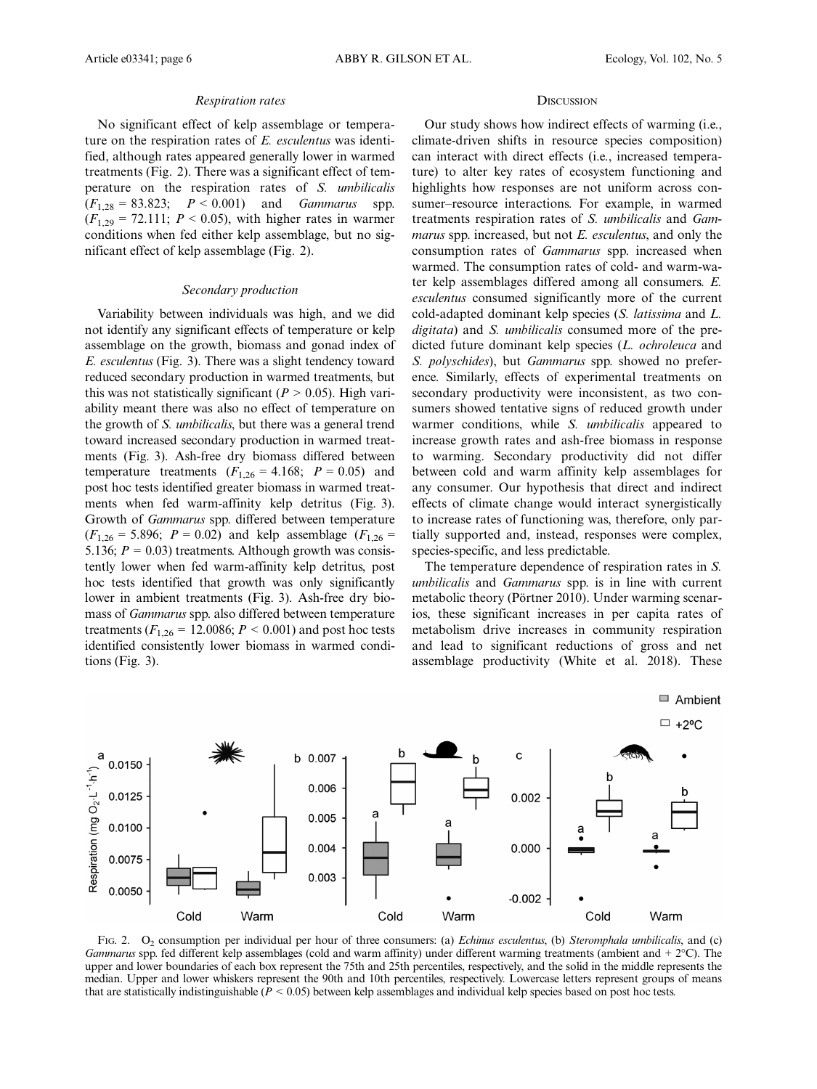#### Respiration rates

No significant effect of kelp assemblage or temperature on the respiration rates of E. esculentus was identified, although rates appeared generally lower in warmed treatments (Fig. 2). There was a significant effect of temperature on the respiration rates of S. umbilicalis  $(F_{1,28} = 83.823; P < 0.001)$  and *Gammarus* spp.  $(F_{1,29} = 72.111; P \le 0.05)$ , with higher rates in warmer conditions when fed either kelp assemblage, but no significant effect of kelp assemblage (Fig. 2).

# Secondary production

Variability between individuals was high, and we did not identify any significant effects of temperature or kelp assemblage on the growth, biomass and gonad index of E. esculentus (Fig. 3). There was a slight tendency toward reduced secondary production in warmed treatments, but this was not statistically significant ( $P > 0.05$ ). High variability meant there was also no effect of temperature on the growth of S. umbilicalis, but there was a general trend toward increased secondary production in warmed treatments (Fig. 3). Ash-free dry biomass differed between temperature treatments  $(F_{1,26} = 4.168; P = 0.05)$  and post hoc tests identified greater biomass in warmed treatments when fed warm-affinity kelp detritus (Fig. 3). Growth of Gammarus spp. differed between temperature  $(F_{1,26} = 5.896; P = 0.02)$  and kelp assemblage  $(F_{1,26} = 5.896; P = 0.02)$ 5.136;  $P = 0.03$ ) treatments. Although growth was consistently lower when fed warm-affinity kelp detritus, post hoc tests identified that growth was only significantly lower in ambient treatments (Fig. 3). Ash-free dry biomass of Gammarus spp. also differed between temperature treatments ( $F_{1,26} = 12.0086$ ;  $P < 0.001$ ) and post hoc tests identified consistently lower biomass in warmed conditions (Fig. 3).

#### **DISCUSSION**

Our study shows how indirect effects of warming (i.e., climate-driven shifts in resource species composition) can interact with direct effects (i.e., increased temperature) to alter key rates of ecosystem functioning and highlights how responses are not uniform across consumer–resource interactions. For example, in warmed treatments respiration rates of S. umbilicalis and Gammarus spp. increased, but not E. esculentus, and only the consumption rates of Gammarus spp. increased when warmed. The consumption rates of cold- and warm-water kelp assemblages differed among all consumers. E. esculentus consumed significantly more of the current cold-adapted dominant kelp species (S. latissima and L. digitata) and *S. umbilicalis* consumed more of the predicted future dominant kelp species (L. ochroleuca and S. polyschides), but Gammarus spp. showed no preference. Similarly, effects of experimental treatments on secondary productivity were inconsistent, as two consumers showed tentative signs of reduced growth under warmer conditions, while S. *umbilicalis* appeared to increase growth rates and ash-free biomass in response to warming. Secondary productivity did not differ between cold and warm affinity kelp assemblages for any consumer. Our hypothesis that direct and indirect effects of climate change would interact synergistically to increase rates of functioning was, therefore, only partially supported and, instead, responses were complex, species-specific, and less predictable.

The temperature dependence of respiration rates in S. umbilicalis and Gammarus spp. is in line with current metabolic theory (Pӧrtner 2010). Under warming scenarios, these significant increases in per capita rates of metabolism drive increases in community respiration and lead to significant reductions of gross and net assemblage productivity (White et al. 2018). These

Ambient



FIG. 2. O<sub>2</sub> consumption per individual per hour of three consumers: (a) *Echinus esculentus*, (b) *Steromphala umbilicalis*, and (c) Gammarus spp. fed different kelp assemblages (cold and warm affinity) under different warming treatments (ambient and +  $2^{\circ}$ C). The upper and lower boundaries of each box represent the 75th and 25th percentiles, respectively, and the solid in the middle represents the median. Upper and lower whiskers represent the 90th and 10th percentiles, respectively. Lowercase letters represent groups of means that are statistically indistinguishable ( $\dot{P}$  < 0.05) between kelp assemblages and individual kelp species based on post hoc tests.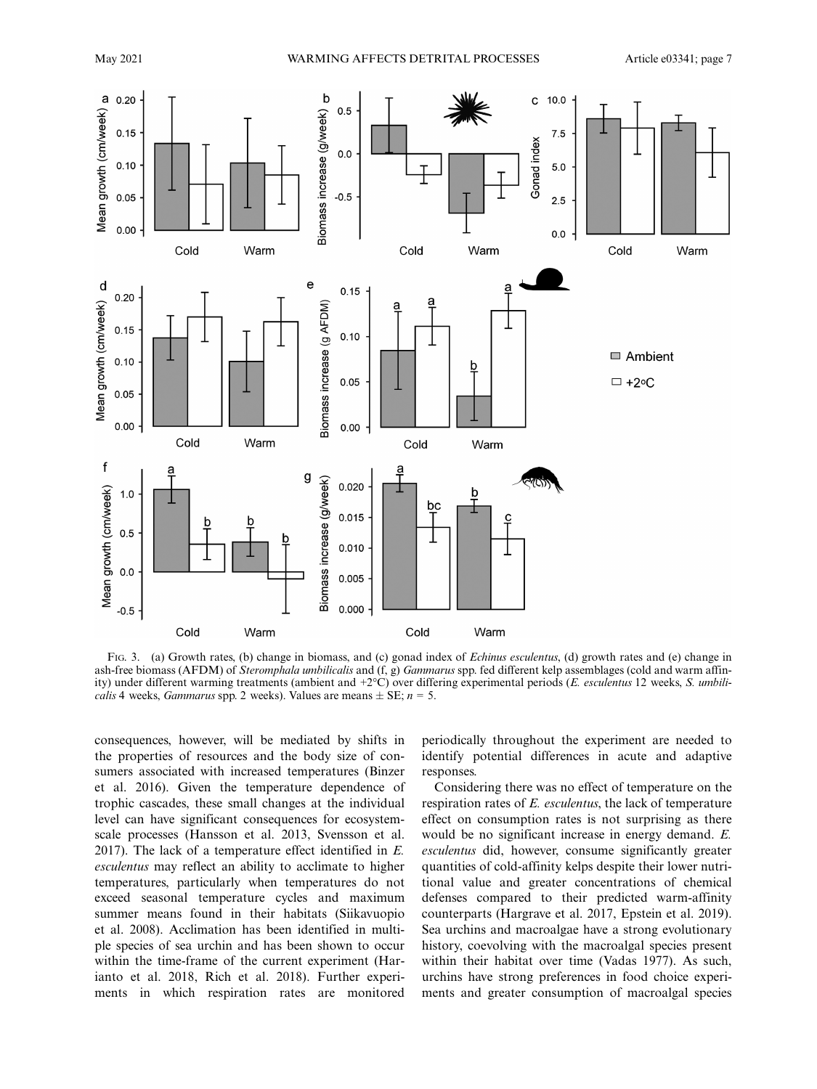

FIG. 3. (a) Growth rates, (b) change in biomass, and (c) gonad index of Echinus esculentus, (d) growth rates and (e) change in ash-free biomass (AFDM) of Steromphala umbilicalis and (f, g) Gammarus spp. fed different kelp assemblages (cold and warm affinity) under different warming treatments (ambient and +2°C) over differing experimental periods (E. esculentus 12 weeks, S. umbili*calis* 4 weeks, *Gammarus* spp. 2 weeks). Values are means  $\pm$  SE;  $n = 5$ .

consequences, however, will be mediated by shifts in the properties of resources and the body size of consumers associated with increased temperatures (Binzer et al. 2016). Given the temperature dependence of trophic cascades, these small changes at the individual level can have significant consequences for ecosystemscale processes (Hansson et al. 2013, Svensson et al. 2017). The lack of a temperature effect identified in E. esculentus may reflect an ability to acclimate to higher temperatures, particularly when temperatures do not exceed seasonal temperature cycles and maximum summer means found in their habitats (Siikavuopio et al. 2008). Acclimation has been identified in multiple species of sea urchin and has been shown to occur within the time-frame of the current experiment (Harianto et al. 2018, Rich et al. 2018). Further experiments in which respiration rates are monitored periodically throughout the experiment are needed to identify potential differences in acute and adaptive responses.

Considering there was no effect of temperature on the respiration rates of E. esculentus, the lack of temperature effect on consumption rates is not surprising as there would be no significant increase in energy demand. E. esculentus did, however, consume significantly greater quantities of cold-affinity kelps despite their lower nutritional value and greater concentrations of chemical defenses compared to their predicted warm-affinity counterparts (Hargrave et al. 2017, Epstein et al. 2019). Sea urchins and macroalgae have a strong evolutionary history, coevolving with the macroalgal species present within their habitat over time (Vadas 1977). As such, urchins have strong preferences in food choice experiments and greater consumption of macroalgal species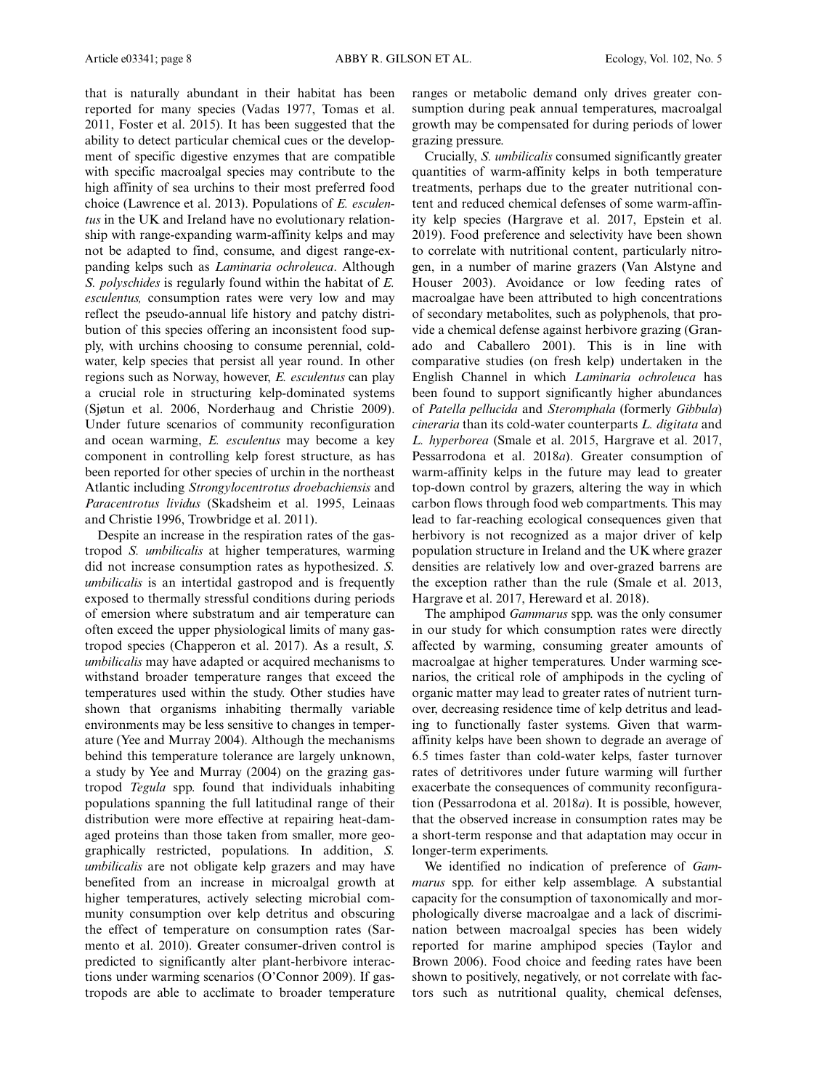that is naturally abundant in their habitat has been reported for many species (Vadas 1977, Tomas et al. 2011, Foster et al. 2015). It has been suggested that the ability to detect particular chemical cues or the development of specific digestive enzymes that are compatible with specific macroalgal species may contribute to the high affinity of sea urchins to their most preferred food choice (Lawrence et al. 2013). Populations of E. esculentus in the UK and Ireland have no evolutionary relationship with range-expanding warm-affinity kelps and may not be adapted to find, consume, and digest range-expanding kelps such as Laminaria ochroleuca. Although S. polyschides is regularly found within the habitat of E. esculentus, consumption rates were very low and may reflect the pseudo-annual life history and patchy distribution of this species offering an inconsistent food supply, with urchins choosing to consume perennial, coldwater, kelp species that persist all year round. In other regions such as Norway, however, E. esculentus can play a crucial role in structuring kelp-dominated systems (Sjøtun et al. 2006, Norderhaug and Christie 2009). Under future scenarios of community reconfiguration and ocean warming, E. esculentus may become a key component in controlling kelp forest structure, as has been reported for other species of urchin in the northeast Atlantic including Strongylocentrotus droebachiensis and Paracentrotus lividus (Skadsheim et al. 1995, Leinaas and Christie 1996, Trowbridge et al. 2011).

Despite an increase in the respiration rates of the gastropod S. umbilicalis at higher temperatures, warming did not increase consumption rates as hypothesized. S. umbilicalis is an intertidal gastropod and is frequently exposed to thermally stressful conditions during periods of emersion where substratum and air temperature can often exceed the upper physiological limits of many gastropod species (Chapperon et al. 2017). As a result, S. umbilicalis may have adapted or acquired mechanisms to withstand broader temperature ranges that exceed the temperatures used within the study. Other studies have shown that organisms inhabiting thermally variable environments may be less sensitive to changes in temperature (Yee and Murray 2004). Although the mechanisms behind this temperature tolerance are largely unknown, a study by Yee and Murray (2004) on the grazing gastropod Tegula spp. found that individuals inhabiting populations spanning the full latitudinal range of their distribution were more effective at repairing heat-damaged proteins than those taken from smaller, more geographically restricted, populations. In addition, S. umbilicalis are not obligate kelp grazers and may have benefited from an increase in microalgal growth at higher temperatures, actively selecting microbial community consumption over kelp detritus and obscuring the effect of temperature on consumption rates (Sarmento et al. 2010). Greater consumer-driven control is predicted to significantly alter plant-herbivore interactions under warming scenarios (O'Connor 2009). If gastropods are able to acclimate to broader temperature ranges or metabolic demand only drives greater consumption during peak annual temperatures, macroalgal growth may be compensated for during periods of lower grazing pressure.

Crucially, S. umbilicalis consumed significantly greater quantities of warm-affinity kelps in both temperature treatments, perhaps due to the greater nutritional content and reduced chemical defenses of some warm-affinity kelp species (Hargrave et al. 2017, Epstein et al. 2019). Food preference and selectivity have been shown to correlate with nutritional content, particularly nitrogen, in a number of marine grazers (Van Alstyne and Houser 2003). Avoidance or low feeding rates of macroalgae have been attributed to high concentrations of secondary metabolites, such as polyphenols, that provide a chemical defense against herbivore grazing (Granado and Caballero 2001). This is in line with comparative studies (on fresh kelp) undertaken in the English Channel in which Laminaria ochroleuca has been found to support significantly higher abundances of Patella pellucida and Steromphala (formerly Gibbula) cineraria than its cold-water counterparts L. digitata and L. hyperborea (Smale et al. 2015, Hargrave et al. 2017, Pessarrodona et al. 2018a). Greater consumption of warm-affinity kelps in the future may lead to greater top-down control by grazers, altering the way in which carbon flows through food web compartments. This may lead to far-reaching ecological consequences given that herbivory is not recognized as a major driver of kelp population structure in Ireland and the UK where grazer densities are relatively low and over-grazed barrens are the exception rather than the rule (Smale et al. 2013, Hargrave et al. 2017, Hereward et al. 2018).

The amphipod Gammarus spp. was the only consumer in our study for which consumption rates were directly affected by warming, consuming greater amounts of macroalgae at higher temperatures. Under warming scenarios, the critical role of amphipods in the cycling of organic matter may lead to greater rates of nutrient turnover, decreasing residence time of kelp detritus and leading to functionally faster systems. Given that warmaffinity kelps have been shown to degrade an average of 6.5 times faster than cold-water kelps, faster turnover rates of detritivores under future warming will further exacerbate the consequences of community reconfiguration (Pessarrodona et al. 2018a). It is possible, however, that the observed increase in consumption rates may be a short-term response and that adaptation may occur in longer-term experiments.

We identified no indication of preference of Gammarus spp. for either kelp assemblage. A substantial capacity for the consumption of taxonomically and morphologically diverse macroalgae and a lack of discrimination between macroalgal species has been widely reported for marine amphipod species (Taylor and Brown 2006). Food choice and feeding rates have been shown to positively, negatively, or not correlate with factors such as nutritional quality, chemical defenses,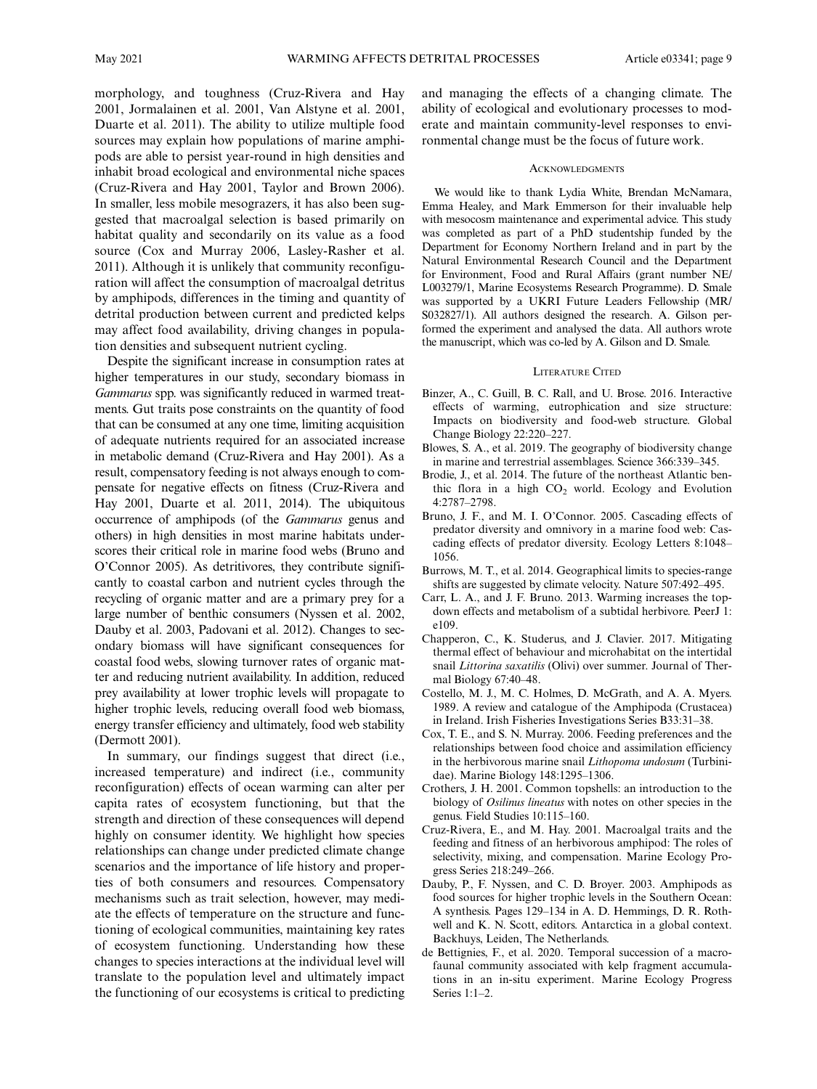morphology, and toughness (Cruz-Rivera and Hay 2001, Jormalainen et al. 2001, Van Alstyne et al. 2001, Duarte et al. 2011). The ability to utilize multiple food sources may explain how populations of marine amphipods are able to persist year-round in high densities and inhabit broad ecological and environmental niche spaces (Cruz-Rivera and Hay 2001, Taylor and Brown 2006). In smaller, less mobile mesograzers, it has also been suggested that macroalgal selection is based primarily on habitat quality and secondarily on its value as a food source (Cox and Murray 2006, Lasley-Rasher et al. 2011). Although it is unlikely that community reconfiguration will affect the consumption of macroalgal detritus by amphipods, differences in the timing and quantity of detrital production between current and predicted kelps may affect food availability, driving changes in population densities and subsequent nutrient cycling.

Despite the significant increase in consumption rates at higher temperatures in our study, secondary biomass in Gammarus spp. was significantly reduced in warmed treatments. Gut traits pose constraints on the quantity of food that can be consumed at any one time, limiting acquisition of adequate nutrients required for an associated increase in metabolic demand (Cruz-Rivera and Hay 2001). As a result, compensatory feeding is not always enough to compensate for negative effects on fitness (Cruz-Rivera and Hay 2001, Duarte et al. 2011, 2014). The ubiquitous occurrence of amphipods (of the Gammarus genus and others) in high densities in most marine habitats underscores their critical role in marine food webs (Bruno and O'Connor 2005). As detritivores, they contribute significantly to coastal carbon and nutrient cycles through the recycling of organic matter and are a primary prey for a large number of benthic consumers (Nyssen et al. 2002, Dauby et al. 2003, Padovani et al. 2012). Changes to secondary biomass will have significant consequences for coastal food webs, slowing turnover rates of organic matter and reducing nutrient availability. In addition, reduced prey availability at lower trophic levels will propagate to higher trophic levels, reducing overall food web biomass, energy transfer efficiency and ultimately, food web stability (Dermott 2001).

In summary, our findings suggest that direct (i.e., increased temperature) and indirect (i.e., community reconfiguration) effects of ocean warming can alter per capita rates of ecosystem functioning, but that the strength and direction of these consequences will depend highly on consumer identity. We highlight how species relationships can change under predicted climate change scenarios and the importance of life history and properties of both consumers and resources. Compensatory mechanisms such as trait selection, however, may mediate the effects of temperature on the structure and functioning of ecological communities, maintaining key rates of ecosystem functioning. Understanding how these changes to species interactions at the individual level will translate to the population level and ultimately impact the functioning of our ecosystems is critical to predicting and managing the effects of a changing climate. The ability of ecological and evolutionary processes to moderate and maintain community-level responses to environmental change must be the focus of future work.

#### **ACKNOWLEDGMENTS**

We would like to thank Lydia White, Brendan McNamara, Emma Healey, and Mark Emmerson for their invaluable help with mesocosm maintenance and experimental advice. This study was completed as part of a PhD studentship funded by the Department for Economy Northern Ireland and in part by the Natural Environmental Research Council and the Department for Environment, Food and Rural Affairs (grant number NE/ L003279/1, Marine Ecosystems Research Programme). D. Smale was supported by a UKRI Future Leaders Fellowship (MR/ S032827/1). All authors designed the research. A. Gilson performed the experiment and analysed the data. All authors wrote the manuscript, which was co-led by A. Gilson and D. Smale.

#### LITERATURE CITED

- Binzer, A., C. Guill, B. C. Rall, and U. Brose. 2016. Interactive effects of warming, eutrophication and size structure: Impacts on biodiversity and food-web structure. Global Change Biology 22:220–227.
- Blowes, S. A., et al. 2019. The geography of biodiversity change in marine and terrestrial assemblages. Science 366:339–345.
- Brodie, J., et al. 2014. The future of the northeast Atlantic benthic flora in a high  $CO<sub>2</sub>$  world. Ecology and Evolution 4:2787–2798.
- Bruno, J. F., and M. I. O'Connor. 2005. Cascading effects of predator diversity and omnivory in a marine food web: Cascading effects of predator diversity. Ecology Letters 8:1048– 1056.
- Burrows, M. T., et al. 2014. Geographical limits to species-range shifts are suggested by climate velocity. Nature 507:492–495.
- Carr, L. A., and J. F. Bruno. 2013. Warming increases the topdown effects and metabolism of a subtidal herbivore. PeerJ 1: e109.
- Chapperon, C., K. Studerus, and J. Clavier. 2017. Mitigating thermal effect of behaviour and microhabitat on the intertidal snail Littorina saxatilis (Olivi) over summer. Journal of Thermal Biology 67:40–48.
- Costello, M. J., M. C. Holmes, D. McGrath, and A. A. Myers. 1989. A review and catalogue of the Amphipoda (Crustacea) in Ireland. Irish Fisheries Investigations Series B33:31–38.
- Cox, T. E., and S. N. Murray. 2006. Feeding preferences and the relationships between food choice and assimilation efficiency in the herbivorous marine snail Lithopoma undosum (Turbinidae). Marine Biology 148:1295–1306.
- Crothers, J. H. 2001. Common topshells: an introduction to the biology of *Osilinus lineatus* with notes on other species in the genus. Field Studies 10:115–160.
- Cruz-Rivera, E., and M. Hay. 2001. Macroalgal traits and the feeding and fitness of an herbivorous amphipod: The roles of selectivity, mixing, and compensation. Marine Ecology Progress Series 218:249–266.
- Dauby, P., F. Nyssen, and C. D. Broyer. 2003. Amphipods as food sources for higher trophic levels in the Southern Ocean: A synthesis. Pages 129–134 in A. D. Hemmings, D. R. Rothwell and K. N. Scott, editors. Antarctica in a global context. Backhuys, Leiden, The Netherlands.
- de Bettignies, F., et al. 2020. Temporal succession of a macrofaunal community associated with kelp fragment accumulations in an in-situ experiment. Marine Ecology Progress Series 1:1–2.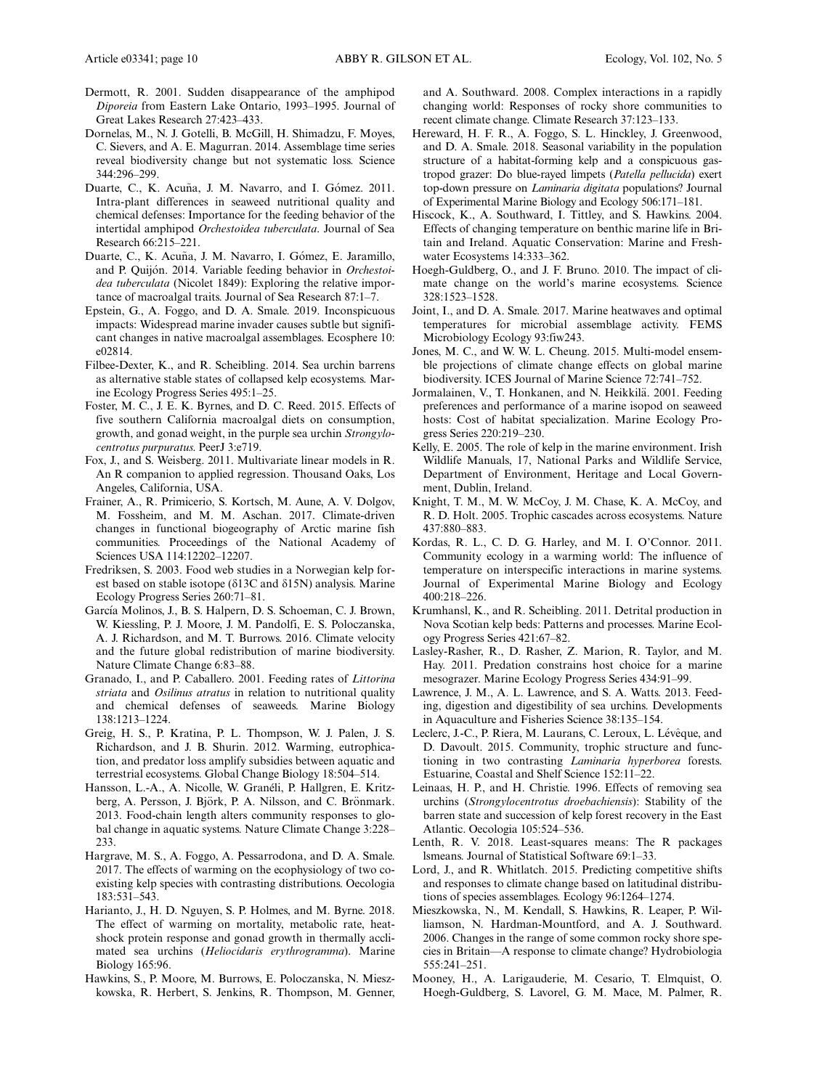- Dermott, R. 2001. Sudden disappearance of the amphipod Diporeia from Eastern Lake Ontario, 1993–1995. Journal of Great Lakes Research 27:423–433.
- Dornelas, M., N. J. Gotelli, B. McGill, H. Shimadzu, F. Moyes, C. Sievers, and A. E. Magurran. 2014. Assemblage time series reveal biodiversity change but not systematic loss. Science 344:296–299.
- Duarte, C., K. Acuña, J. M. Navarro, and I. Gómez. 2011. Intra-plant differences in seaweed nutritional quality and chemical defenses: Importance for the feeding behavior of the intertidal amphipod Orchestoidea tuberculata. Journal of Sea Research 66:215–221.
- Duarte, C., K. Acuña, J. M. Navarro, I. Gómez, E. Jaramillo, and P. Quijon. 2014. Variable feeding behavior in Orchestoidea tuberculata (Nicolet 1849): Exploring the relative importance of macroalgal traits. Journal of Sea Research 87:1–7.
- Epstein, G., A. Foggo, and D. A. Smale. 2019. Inconspicuous impacts: Widespread marine invader causes subtle but significant changes in native macroalgal assemblages. Ecosphere 10: e02814.
- Filbee-Dexter, K., and R. Scheibling. 2014. Sea urchin barrens as alternative stable states of collapsed kelp ecosystems. Marine Ecology Progress Series 495:1–25.
- Foster, M. C., J. E. K. Byrnes, and D. C. Reed. 2015. Effects of five southern California macroalgal diets on consumption, growth, and gonad weight, in the purple sea urchin Strongylocentrotus purpuratus. PeerJ 3:e719.
- Fox, J., and S. Weisberg. 2011. Multivariate linear models in R. An R companion to applied regression. Thousand Oaks, Los Angeles, California, USA.
- Frainer, A., R. Primicerio, S. Kortsch, M. Aune, A. V. Dolgov, M. Fossheim, and M. M. Aschan. 2017. Climate-driven changes in functional biogeography of Arctic marine fish communities. Proceedings of the National Academy of Sciences USA 114:12202–12207.
- Fredriksen, S. 2003. Food web studies in a Norwegian kelp forest based on stable isotope ( $\delta$ 13C and  $\delta$ 15N) analysis. Marine Ecology Progress Series 260:71–81.
- García Molinos, J., B. S. Halpern, D. S. Schoeman, C. J. Brown, W. Kiessling, P. J. Moore, J. M. Pandolfi, E. S. Poloczanska, A. J. Richardson, and M. T. Burrows. 2016. Climate velocity and the future global redistribution of marine biodiversity. Nature Climate Change 6:83–88.
- Granado, I., and P. Caballero. 2001. Feeding rates of Littorina striata and Osilinus atratus in relation to nutritional quality and chemical defenses of seaweeds. Marine Biology 138:1213–1224.
- Greig, H. S., P. Kratina, P. L. Thompson, W. J. Palen, J. S. Richardson, and J. B. Shurin. 2012. Warming, eutrophication, and predator loss amplify subsidies between aquatic and terrestrial ecosystems. Global Change Biology 18:504–514.
- Hansson, L.-A., A. Nicolle, W. Graneli, P. Hallgren, E. Kritzberg, A. Persson, J. Björk, P. A. Nilsson, and C. Brönmark. 2013. Food-chain length alters community responses to global change in aquatic systems. Nature Climate Change 3:228– 233.
- Hargrave, M. S., A. Foggo, A. Pessarrodona, and D. A. Smale. 2017. The effects of warming on the ecophysiology of two coexisting kelp species with contrasting distributions. Oecologia 183:531–543.
- Harianto, J., H. D. Nguyen, S. P. Holmes, and M. Byrne. 2018. The effect of warming on mortality, metabolic rate, heatshock protein response and gonad growth in thermally acclimated sea urchins (Heliocidaris erythrogramma). Marine Biology 165:96.
- Hawkins, S., P. Moore, M. Burrows, E. Poloczanska, N. Mieszkowska, R. Herbert, S. Jenkins, R. Thompson, M. Genner,

and A. Southward. 2008. Complex interactions in a rapidly changing world: Responses of rocky shore communities to recent climate change. Climate Research 37:123–133.

- Hereward, H. F. R., A. Foggo, S. L. Hinckley, J. Greenwood, and D. A. Smale. 2018. Seasonal variability in the population structure of a habitat-forming kelp and a conspicuous gastropod grazer: Do blue-rayed limpets (Patella pellucida) exert top-down pressure on Laminaria digitata populations? Journal of Experimental Marine Biology and Ecology 506:171–181.
- Hiscock, K., A. Southward, I. Tittley, and S. Hawkins. 2004. Effects of changing temperature on benthic marine life in Britain and Ireland. Aquatic Conservation: Marine and Freshwater Ecosystems 14:333–362.
- Hoegh-Guldberg, O., and J. F. Bruno. 2010. The impact of climate change on the world's marine ecosystems. Science 328:1523–1528.
- Joint, I., and D. A. Smale. 2017. Marine heatwaves and optimal temperatures for microbial assemblage activity. FEMS Microbiology Ecology 93:fiw243.
- Jones, M. C., and W. W. L. Cheung. 2015. Multi-model ensemble projections of climate change effects on global marine biodiversity. ICES Journal of Marine Science 72:741–752.
- Jormalainen, V., T. Honkanen, and N. Heikkilä. 2001. Feeding preferences and performance of a marine isopod on seaweed hosts: Cost of habitat specialization. Marine Ecology Progress Series 220:219–230.
- Kelly, E. 2005. The role of kelp in the marine environment. Irish Wildlife Manuals, 17, National Parks and Wildlife Service, Department of Environment, Heritage and Local Government, Dublin, Ireland.
- Knight, T. M., M. W. McCoy, J. M. Chase, K. A. McCoy, and R. D. Holt. 2005. Trophic cascades across ecosystems. Nature 437:880–883.
- Kordas, R. L., C. D. G. Harley, and M. I. O'Connor. 2011. Community ecology in a warming world: The influence of temperature on interspecific interactions in marine systems. Journal of Experimental Marine Biology and Ecology 400:218–226.
- Krumhansl, K., and R. Scheibling. 2011. Detrital production in Nova Scotian kelp beds: Patterns and processes. Marine Ecology Progress Series 421:67–82.
- Lasley-Rasher, R., D. Rasher, Z. Marion, R. Taylor, and M. Hay. 2011. Predation constrains host choice for a marine mesograzer. Marine Ecology Progress Series 434:91–99.
- Lawrence, J. M., A. L. Lawrence, and S. A. Watts. 2013. Feeding, digestion and digestibility of sea urchins. Developments in Aquaculture and Fisheries Science 38:135–154.
- Leclerc, J.-C., P. Riera, M. Laurans, C. Leroux, L. Lévêque, and D. Davoult. 2015. Community, trophic structure and functioning in two contrasting Laminaria hyperborea forests. Estuarine, Coastal and Shelf Science 152:11–22.
- Leinaas, H. P., and H. Christie. 1996. Effects of removing sea urchins (Strongylocentrotus droebachiensis): Stability of the barren state and succession of kelp forest recovery in the East Atlantic. Oecologia 105:524–536.
- Lenth, R. V. 2018. Least-squares means: The R packages lsmeans. Journal of Statistical Software 69:1–33.
- Lord, J., and R. Whitlatch. 2015. Predicting competitive shifts and responses to climate change based on latitudinal distributions of species assemblages. Ecology 96:1264–1274.
- Mieszkowska, N., M. Kendall, S. Hawkins, R. Leaper, P. Williamson, N. Hardman-Mountford, and A. J. Southward. 2006. Changes in the range of some common rocky shore species in Britain—A response to climate change? Hydrobiologia 555:241–251.
- Mooney, H., A. Larigauderie, M. Cesario, T. Elmquist, O. Hoegh-Guldberg, S. Lavorel, G. M. Mace, M. Palmer, R.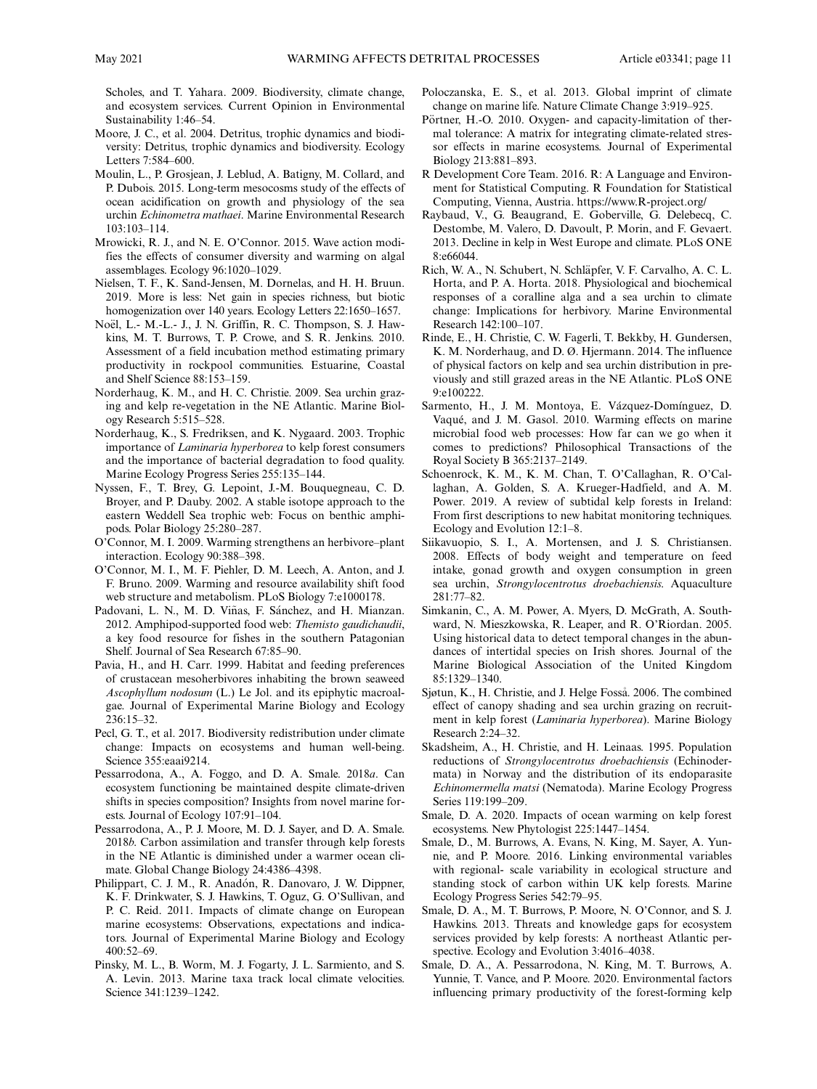Scholes, and T. Yahara. 2009. Biodiversity, climate change, and ecosystem services. Current Opinion in Environmental Sustainability 1:46–54.

- Moore, J. C., et al. 2004. Detritus, trophic dynamics and biodiversity: Detritus, trophic dynamics and biodiversity. Ecology Letters 7:584–600.
- Moulin, L., P. Grosjean, J. Leblud, A. Batigny, M. Collard, and P. Dubois. 2015. Long-term mesocosms study of the effects of ocean acidification on growth and physiology of the sea urchin Echinometra mathaei. Marine Environmental Research 103:103–114.
- Mrowicki, R. J., and N. E. O'Connor. 2015. Wave action modifies the effects of consumer diversity and warming on algal assemblages. Ecology 96:1020–1029.
- Nielsen, T. F., K. Sand-Jensen, M. Dornelas, and H. H. Bruun. 2019. More is less: Net gain in species richness, but biotic homogenization over 140 years. Ecology Letters 22:1650–1657.
- Noël, L.- M.-L.- J., J. N. Griffin, R. C. Thompson, S. J. Hawkins, M. T. Burrows, T. P. Crowe, and S. R. Jenkins. 2010. Assessment of a field incubation method estimating primary productivity in rockpool communities. Estuarine, Coastal and Shelf Science 88:153–159.
- Norderhaug, K. M., and H. C. Christie. 2009. Sea urchin grazing and kelp re-vegetation in the NE Atlantic. Marine Biology Research 5:515–528.
- Norderhaug, K., S. Fredriksen, and K. Nygaard. 2003. Trophic importance of Laminaria hyperborea to kelp forest consumers and the importance of bacterial degradation to food quality. Marine Ecology Progress Series 255:135–144.
- Nyssen, F., T. Brey, G. Lepoint, J.-M. Bouquegneau, C. D. Broyer, and P. Dauby. 2002. A stable isotope approach to the eastern Weddell Sea trophic web: Focus on benthic amphipods. Polar Biology 25:280–287.
- O'Connor, M. I. 2009. Warming strengthens an herbivore–plant interaction. Ecology 90:388–398.
- O'Connor, M. I., M. F. Piehler, D. M. Leech, A. Anton, and J. F. Bruno. 2009. Warming and resource availability shift food web structure and metabolism. PLoS Biology 7:e1000178.
- Padovani, L. N., M. D. Viñas, F. Sánchez, and H. Mianzan. 2012. Amphipod-supported food web: Themisto gaudichaudii, a key food resource for fishes in the southern Patagonian Shelf. Journal of Sea Research 67:85–90.
- Pavia, H., and H. Carr. 1999. Habitat and feeding preferences of crustacean mesoherbivores inhabiting the brown seaweed Ascophyllum nodosum (L.) Le Jol. and its epiphytic macroalgae. Journal of Experimental Marine Biology and Ecology 236:15–32.
- Pecl, G. T., et al. 2017. Biodiversity redistribution under climate change: Impacts on ecosystems and human well-being. Science 355:eaai9214.
- Pessarrodona, A., A. Foggo, and D. A. Smale. 2018a. Can ecosystem functioning be maintained despite climate-driven shifts in species composition? Insights from novel marine forests. Journal of Ecology 107:91–104.
- Pessarrodona, A., P. J. Moore, M. D. J. Sayer, and D. A. Smale. 2018b. Carbon assimilation and transfer through kelp forests in the NE Atlantic is diminished under a warmer ocean climate. Global Change Biology 24:4386–4398.
- Philippart, C. J. M., R. Anadón, R. Danovaro, J. W. Dippner, K. F. Drinkwater, S. J. Hawkins, T. Oguz, G. O'Sullivan, and P. C. Reid. 2011. Impacts of climate change on European marine ecosystems: Observations, expectations and indicators. Journal of Experimental Marine Biology and Ecology 400:52–69.
- Pinsky, M. L., B. Worm, M. J. Fogarty, J. L. Sarmiento, and S. A. Levin. 2013. Marine taxa track local climate velocities. Science 341:1239–1242.
- Poloczanska, E. S., et al. 2013. Global imprint of climate change on marine life. Nature Climate Change 3:919–925.
- Pörtner, H.-O. 2010. Oxygen- and capacity-limitation of thermal tolerance: A matrix for integrating climate-related stressor effects in marine ecosystems. Journal of Experimental Biology 213:881–893.
- R Development Core Team. 2016. R: A Language and Environment for Statistical Computing. R Foundation for Statistical Computing, Vienna, Austria.<https://www.R-project.org/>
- Raybaud, V., G. Beaugrand, E. Goberville, G. Delebecq, C. Destombe, M. Valero, D. Davoult, P. Morin, and F. Gevaert. 2013. Decline in kelp in West Europe and climate. PLoS ONE 8:e66044.
- Rich, W. A., N. Schubert, N. Schläpfer, V. F. Carvalho, A. C. L. Horta, and P. A. Horta. 2018. Physiological and biochemical responses of a coralline alga and a sea urchin to climate change: Implications for herbivory. Marine Environmental Research 142:100–107.
- Rinde, E., H. Christie, C. W. Fagerli, T. Bekkby, H. Gundersen, K. M. Norderhaug, and D. Ø. Hjermann. 2014. The influence of physical factors on kelp and sea urchin distribution in previously and still grazed areas in the NE Atlantic. PLoS ONE 9:e100222.
- Sarmento, H., J. M. Montoya, E. Vázquez-Domínguez, D. Vaque, and J. M. Gasol. 2010. Warming effects on marine microbial food web processes: How far can we go when it comes to predictions? Philosophical Transactions of the Royal Society B 365:2137–2149.
- Schoenrock, K. M., K. M. Chan, T. O'Callaghan, R. O'Callaghan, A. Golden, S. A. Krueger-Hadfield, and A. M. Power. 2019. A review of subtidal kelp forests in Ireland: From first descriptions to new habitat monitoring techniques. Ecology and Evolution 12:1–8.
- Siikavuopio, S. I., A. Mortensen, and J. S. Christiansen. 2008. Effects of body weight and temperature on feed intake, gonad growth and oxygen consumption in green sea urchin, Strongylocentrotus droebachiensis. Aquaculture 281:77–82.
- Simkanin, C., A. M. Power, A. Myers, D. McGrath, A. Southward, N. Mieszkowska, R. Leaper, and R. O'Riordan. 2005. Using historical data to detect temporal changes in the abundances of intertidal species on Irish shores. Journal of the Marine Biological Association of the United Kingdom 85:1329–1340.
- Sjøtun, K., H. Christie, and J. Helge Fossa. 2006. The combined effect of canopy shading and sea urchin grazing on recruitment in kelp forest (Laminaria hyperborea). Marine Biology Research 2:24–32.
- Skadsheim, A., H. Christie, and H. Leinaas. 1995. Population reductions of Strongylocentrotus droebachiensis (Echinodermata) in Norway and the distribution of its endoparasite Echinomermella matsi (Nematoda). Marine Ecology Progress Series 119:199–209.
- Smale, D. A. 2020. Impacts of ocean warming on kelp forest ecosystems. New Phytologist 225:1447–1454.
- Smale, D., M. Burrows, A. Evans, N. King, M. Sayer, A. Yunnie, and P. Moore. 2016. Linking environmental variables with regional- scale variability in ecological structure and standing stock of carbon within UK kelp forests. Marine Ecology Progress Series 542:79–95.
- Smale, D. A., M. T. Burrows, P. Moore, N. O'Connor, and S. J. Hawkins. 2013. Threats and knowledge gaps for ecosystem services provided by kelp forests: A northeast Atlantic perspective. Ecology and Evolution 3:4016–4038.
- Smale, D. A., A. Pessarrodona, N. King, M. T. Burrows, A. Yunnie, T. Vance, and P. Moore. 2020. Environmental factors influencing primary productivity of the forest-forming kelp